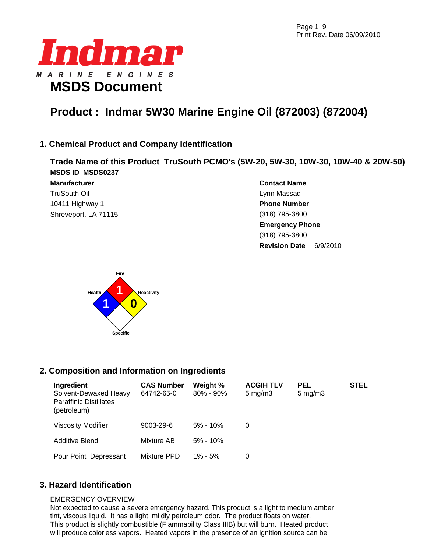Page 1 9 Print Rev. Date 06/09/2010



# **Product : Indmar 5W30 Marine Engine Oil (872003) (872004)**

# **1. Chemical Product and Company Identification**

**Trade Name of this Product TruSouth PCMO's (5W-20, 5W-30, 10W-30, 10W-40 & 20W-50) MSDS ID MSDS0237**

**Manufacturer**  TruSouth Oil 10411 Highway 1 Shreveport, LA 71115 **Contact Name**  Lynn Massad **Phone Number**  (318) 795-3800 **Emergency Phone** (318) 795-3800 **Revision Date** 6/9/2010



# **2. Composition and Information on Ingredients**

| Ingredient<br>Solvent-Dewaxed Heavy<br><b>Paraffinic Distillates</b><br>(petroleum) | <b>CAS Number</b><br>64742-65-0 | Weight %<br>$80\% - 90\%$ | <b>ACGIH TLV</b><br>$5 \text{ mg/m}$ 3 | <b>PEL</b><br>$5 \text{ mg/m}$ | <b>STEL</b> |
|-------------------------------------------------------------------------------------|---------------------------------|---------------------------|----------------------------------------|--------------------------------|-------------|
| <b>Viscosity Modifier</b>                                                           | $9003 - 29 - 6$                 | $5\% - 10\%$              | 0                                      |                                |             |
| Additive Blend                                                                      | Mixture AB                      | $5\% - 10\%$              |                                        |                                |             |
| Pour Point Depressant                                                               | Mixture PPD                     | $1\% - 5\%$               | 0                                      |                                |             |

# **3. Hazard Identification**

#### EMERGENCY OVERVIEW

Not expected to cause a severe emergency hazard. This product is a light to medium amber tint, viscous liquid. It has a light, mildly petroleum odor. The product floats on water. This product is slightly combustible (Flammability Class IIIB) but will burn. Heated product will produce colorless vapors. Heated vapors in the presence of an ignition source can be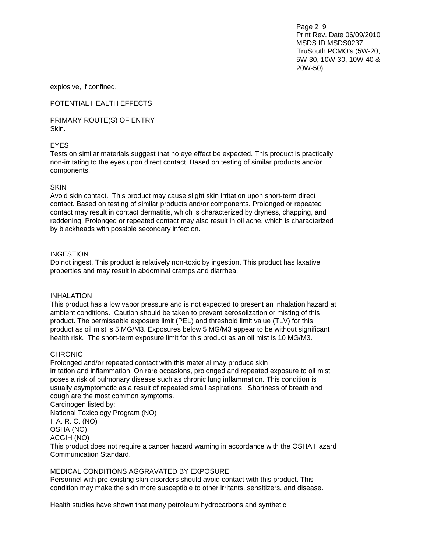Page 2 9 Print Rev. Date 06/09/2010 MSDS ID MSDS0237 TruSouth PCMO's (5W-20, 5W-30, 10W-30, 10W-40 & 20W-50)

explosive, if confined.

POTENTIAL HEALTH EFFECTS

PRIMARY ROUTE(S) OF ENTRY Skin.

#### EYES

Tests on similar materials suggest that no eye effect be expected. This product is practically non-irritating to the eyes upon direct contact. Based on testing of similar products and/or components.

#### **SKIN**

Avoid skin contact. This product may cause slight skin irritation upon short-term direct contact. Based on testing of similar products and/or components. Prolonged or repeated contact may result in contact dermatitis, which is characterized by dryness, chapping, and reddening. Prolonged or repeated contact may also result in oil acne, which is characterized by blackheads with possible secondary infection.

#### INGESTION

Do not ingest. This product is relatively non-toxic by ingestion. This product has laxative properties and may result in abdominal cramps and diarrhea.

#### INHALATION

This product has a low vapor pressure and is not expected to present an inhalation hazard at ambient conditions. Caution should be taken to prevent aerosolization or misting of this product. The permissable exposure limit (PEL) and threshold limit value (TLV) for this product as oil mist is 5 MG/M3. Exposures below 5 MG/M3 appear to be without significant health risk. The short-term exposure limit for this product as an oil mist is 10 MG/M3.

#### CHRONIC

Prolonged and/or repeated contact with this material may produce skin irritation and inflammation. On rare occasions, prolonged and repeated exposure to oil mist poses a risk of pulmonary disease such as chronic lung inflammation. This condition is usually asymptomatic as a result of repeated small aspirations. Shortness of breath and cough are the most common symptoms.

Carcinogen listed by:

National Toxicology Program (NO)

I. A. R. C. (NO)

OSHA (NO)

ACGIH (NO)

This product does not require a cancer hazard warning in accordance with the OSHA Hazard Communication Standard.

#### MEDICAL CONDITIONS AGGRAVATED BY EXPOSURE

Personnel with pre-existing skin disorders should avoid contact with this product. This condition may make the skin more susceptible to other irritants, sensitizers, and disease.

Health studies have shown that many petroleum hydrocarbons and synthetic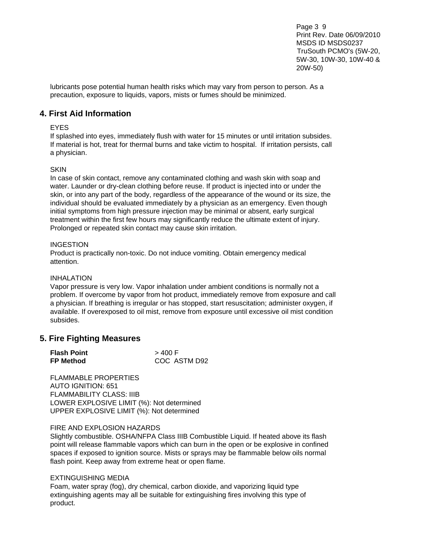Page 3 9 Print Rev. Date 06/09/2010 MSDS ID MSDS0237 TruSouth PCMO's (5W-20, 5W-30, 10W-30, 10W-40 & 20W-50)

lubricants pose potential human health risks which may vary from person to person. As a precaution, exposure to liquids, vapors, mists or fumes should be minimized.

### **4. First Aid Information**

#### EYES

If splashed into eyes, immediately flush with water for 15 minutes or until irritation subsides. If material is hot, treat for thermal burns and take victim to hospital. If irritation persists, call a physician.

#### **SKIN**

In case of skin contact, remove any contaminated clothing and wash skin with soap and water. Launder or dry-clean clothing before reuse. If product is injected into or under the skin, or into any part of the body, regardless of the appearance of the wound or its size, the individual should be evaluated immediately by a physician as an emergency. Even though initial symptoms from high pressure injection may be minimal or absent, early surgical treatment within the first few hours may significantly reduce the ultimate extent of injury. Prolonged or repeated skin contact may cause skin irritation.

#### **INGESTION**

Product is practically non-toxic. Do not induce vomiting. Obtain emergency medical attention.

#### INHALATION

Vapor pressure is very low. Vapor inhalation under ambient conditions is normally not a problem. If overcome by vapor from hot product, immediately remove from exposure and call a physician. If breathing is irregular or has stopped, start resuscitation; administer oxygen, if available. If overexposed to oil mist, remove from exposure until excessive oil mist condition subsides.

## **5. Fire Fighting Measures**

| <b>Flash Point</b> | > 400 F      |
|--------------------|--------------|
| <b>FP Method</b>   | COC ASTM D92 |

FI AMMARI F PROPERTIES AUTO IGNITION: 651 FLAMMABILITY CLASS: IIIB LOWER EXPLOSIVE LIMIT (%): Not determined UPPER EXPLOSIVE LIMIT (%): Not determined

#### FIRE AND EXPLOSION HAZARDS

Slightly combustible. OSHA/NFPA Class IIIB Combustible Liquid. If heated above its flash point will release flammable vapors which can burn in the open or be explosive in confined spaces if exposed to ignition source. Mists or sprays may be flammable below oils normal flash point. Keep away from extreme heat or open flame.

#### EXTINGUISHING MEDIA

Foam, water spray (fog), dry chemical, carbon dioxide, and vaporizing liquid type extinguishing agents may all be suitable for extinguishing fires involving this type of product.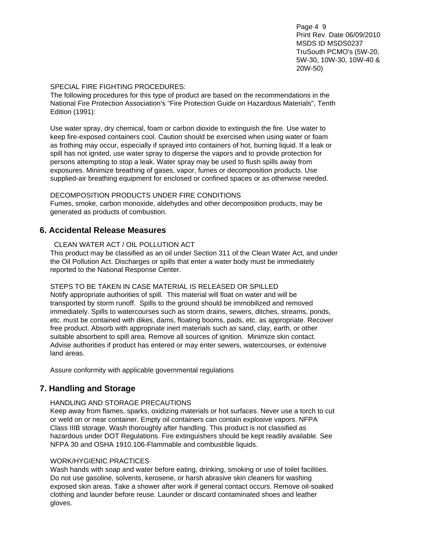Page 4 9 Print Rev. Date 06/09/2010 MSDS ID MSDS0237 TruSouth PCMO's (5W-20, 5W-30, 10W-30, 10W-40 & 20W-50)

#### SPECIAL FIRE FIGHTING PROCEDURES:

The following procedures for this type of product are based on the recommendations in the National Fire Protection Association's "Fire Protection Guide on Hazardous Materials", Tenth Edition (1991):

Use water spray, dry chemical, foam or carbon dioxide to extinguish the fire. Use water to keep fire-exposed containers cool. Caution should be exercised when using water or foam as frothing may occur, especially if sprayed into containers of hot, burning liquid. If a leak or spill has not ignited, use water spray to disperse the vapors and to provide protection for persons attempting to stop a leak. Water spray may be used to flush spills away from exposures. Minimize breathing of gases, vapor, fumes or decomposition products. Use supplied-air breathing equipment for enclosed or confined spaces or as otherwise needed.

#### DECOMPOSITION PRODUCTS UNDER FIRE CONDITIONS

Fumes, smoke, carbon monoxide, aldehydes and other decomposition products, may be generated as products of combustion.

## **6. Accidental Release Measures**

#### CLEAN WATER ACT / OIL POLLUTION ACT

This product may be classified as an oil under Section 311 of the Clean Water Act, and under the Oil Pollution Act. Discharges or spills that enter a water body must be immediately reported to the National Response Center.

#### STEPS TO BE TAKEN IN CASE MATERIAL IS RELEASED OR SPILLED

Notify appropriate authorities of spill. This material will float on water and will be transported by storm runoff. Spills to the ground should be immobilized and removed immediately. Spills to watercourses such as storm drains, sewers, ditches, streams, ponds, etc. must be contained with dikes, dams, floating booms, pads, etc. as appropriate. Recover free product. Absorb with appropriate inert materials such as sand, clay, earth, or other suitable absorbent to spill area. Remove all sources of ignition. Minimize skin contact. Advise authorities if product has entered or may enter sewers, watercourses, or extensive land areas.

Assure conformity with applicable governmental regulations

# **7. Handling and Storage**

#### HANDLING AND STORAGE PRECAUTIONS

Keep away from flames, sparks, oxidizing materials or hot surfaces. Never use a torch to cut or weld on or near container. Empty oil containers can contain explosive vapors. NFPA Class IIIB storage. Wash thoroughly after handling. This product is not classified as hazardous under DOT Regulations. Fire extinguishers should be kept readily available. See NFPA 30 and OSHA 1910.106-Flammable and combustible liquids.

#### WORK/HYGIENIC PRACTICES

Wash hands with soap and water before eating, drinking, smoking or use of toilet facilities. Do not use gasoline, solvents, kerosene, or harsh abrasive skin cleaners for washing exposed skin areas. Take a shower after work if general contact occurs. Remove oil-soaked clothing and launder before reuse. Launder or discard contaminated shoes and leather gloves.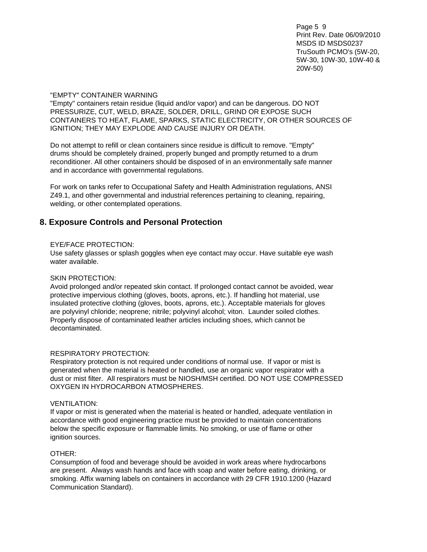Page 5 9 Print Rev. Date 06/09/2010 MSDS ID MSDS0237 TruSouth PCMO's (5W-20, 5W-30, 10W-30, 10W-40 & 20W-50)

#### "EMPTY" CONTAINER WARNING

"Empty" containers retain residue (liquid and/or vapor) and can be dangerous. DO NOT PRESSURIZE, CUT, WELD, BRAZE, SOLDER, DRILL, GRIND OR EXPOSE SUCH CONTAINERS TO HEAT, FLAME, SPARKS, STATIC ELECTRICITY, OR OTHER SOURCES OF IGNITION; THEY MAY EXPLODE AND CAUSE INJURY OR DEATH.

Do not attempt to refill or clean containers since residue is difficult to remove. "Empty" drums should be completely drained, properly bunged and promptly returned to a drum reconditioner. All other containers should be disposed of in an environmentally safe manner and in accordance with governmental regulations.

For work on tanks refer to Occupational Safety and Health Administration regulations, ANSI Z49.1, and other governmental and industrial references pertaining to cleaning, repairing, welding, or other contemplated operations.

# **8. Exposure Controls and Personal Protection**

#### EYE/FACE PROTECTION:

Use safety glasses or splash goggles when eye contact may occur. Have suitable eye wash water available.

#### SKIN PROTECTION:

Avoid prolonged and/or repeated skin contact. If prolonged contact cannot be avoided, wear protective impervious clothing (gloves, boots, aprons, etc.). If handling hot material, use insulated protective clothing (gloves, boots, aprons, etc.). Acceptable materials for gloves are polyvinyl chloride; neoprene; nitrile; polyvinyl alcohol; viton. Launder soiled clothes. Properly dispose of contaminated leather articles including shoes, which cannot be decontaminated.

#### RESPIRATORY PROTECTION:

Respiratory protection is not required under conditions of normal use. If vapor or mist is generated when the material is heated or handled, use an organic vapor respirator with a dust or mist filter. All respirators must be NIOSH/MSH certified. DO NOT USE COMPRESSED OXYGEN IN HYDROCARBON ATMOSPHERES.

#### VENTILATION:

If vapor or mist is generated when the material is heated or handled, adequate ventilation in accordance with good engineering practice must be provided to maintain concentrations below the specific exposure or flammable limits. No smoking, or use of flame or other ignition sources.

#### OTHER:

Consumption of food and beverage should be avoided in work areas where hydrocarbons are present. Always wash hands and face with soap and water before eating, drinking, or smoking. Affix warning labels on containers in accordance with 29 CFR 1910.1200 (Hazard Communication Standard).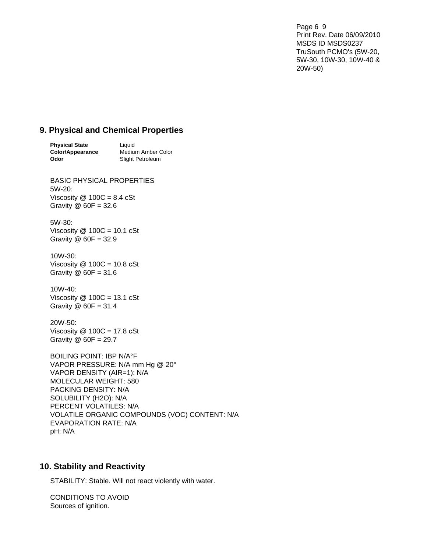Page 6 9 Print Rev. Date 06/09/2010 MSDS ID MSDS0237 TruSouth PCMO's (5W-20, 5W-30, 10W-30, 10W-40 & 20W-50)

# **9. Physical and Chemical Properties**

| <b>Physical State</b> | Liauid             |
|-----------------------|--------------------|
| Color/Appearance      | Medium Amber Color |
| Odor                  | Slight Petroleum   |

BASIC PHYSICAL PROPERTIES 5W-20: Viscosity  $@$  100C = 8.4 cSt Gravity  $\omega$  60F = 32.6

5W-30: Viscosity  $@$  100C = 10.1 cSt Gravity @ 60F = 32.9

#### 10W-30: Viscosity  $@$  100C = 10.8 cSt Gravity  $@$  60F = 31.6

10W-40: Viscosity  $@$  100C = 13.1 cSt Gravity  $@$  60F = 31.4

20W-50: Viscosity  $@$  100C = 17.8 cSt Gravity @ 60F = 29.7

BOILING POINT: IBP N/A°F VAPOR PRESSURE: N/A mm Hg @ 20° VAPOR DENSITY (AIR=1): N/A MOLECULAR WEIGHT: 580 PACKING DENSITY: N/A SOLUBILITY (H2O): N/A PERCENT VOLATILES: N/A VOLATILE ORGANIC COMPOUNDS (VOC) CONTENT: N/A EVAPORATION RATE: N/A pH: N/A

# **10. Stability and Reactivity**

STABILITY: Stable. Will not react violently with water.

CONDITIONS TO AVOID Sources of ignition.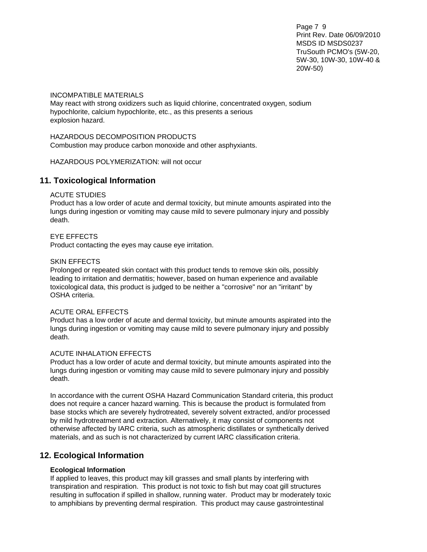Page 7 9 Print Rev. Date 06/09/2010 MSDS ID MSDS0237 TruSouth PCMO's (5W-20, 5W-30, 10W-30, 10W-40 & 20W-50)

#### INCOMPATIBLE MATERIALS

May react with strong oxidizers such as liquid chlorine, concentrated oxygen, sodium hypochlorite, calcium hypochlorite, etc., as this presents a serious explosion hazard.

# HAZARDOUS DECOMPOSITION PRODUCTS

Combustion may produce carbon monoxide and other asphyxiants.

HAZARDOUS POLYMERIZATION: will not occur

# **11. Toxicological Information**

#### ACUTE STUDIES

Product has a low order of acute and dermal toxicity, but minute amounts aspirated into the lungs during ingestion or vomiting may cause mild to severe pulmonary injury and possibly death.

#### EYE EFFECTS

Product contacting the eyes may cause eye irritation.

#### SKIN EFFECTS

Prolonged or repeated skin contact with this product tends to remove skin oils, possibly leading to irritation and dermatitis; however, based on human experience and available toxicological data, this product is judged to be neither a "corrosive" nor an "irritant" by OSHA criteria.

#### ACUTE ORAL EFFECTS

Product has a low order of acute and dermal toxicity, but minute amounts aspirated into the lungs during ingestion or vomiting may cause mild to severe pulmonary injury and possibly death.

#### ACUTE INHALATION EFFECTS

Product has a low order of acute and dermal toxicity, but minute amounts aspirated into the lungs during ingestion or vomiting may cause mild to severe pulmonary injury and possibly death.

In accordance with the current OSHA Hazard Communication Standard criteria, this product does not require a cancer hazard warning. This is because the product is formulated from base stocks which are severely hydrotreated, severely solvent extracted, and/or processed by mild hydrotreatment and extraction. Alternatively, it may consist of components not otherwise affected by IARC criteria, such as atmospheric distillates or synthetically derived materials, and as such is not characterized by current IARC classification criteria.

## **12. Ecological Information**

#### **Ecological Information**

If applied to leaves, this product may kill grasses and small plants by interfering with transpiration and respiration. This product is not toxic to fish but may coat gill structures resulting in suffocation if spilled in shallow, running water. Product may br moderately toxic to amphibians by preventing dermal respiration. This product may cause gastrointestinal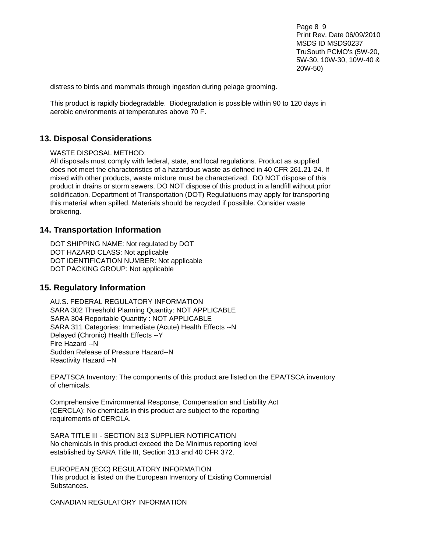Page 8 9 Print Rev. Date 06/09/2010 MSDS ID MSDS0237 TruSouth PCMO's (5W-20, 5W-30, 10W-30, 10W-40 & 20W-50)

distress to birds and mammals through ingestion during pelage grooming.

This product is rapidly biodegradable. Biodegradation is possible within 90 to 120 days in aerobic environments at temperatures above 70 F.

### **13. Disposal Considerations**

WASTE DISPOSAL METHOD:

All disposals must comply with federal, state, and local regulations. Product as supplied does not meet the characteristics of a hazardous waste as defined in 40 CFR 261.21-24. If mixed with other products, waste mixture must be characterized. DO NOT dispose of this product in drains or storm sewers. DO NOT dispose of this product in a landfill without prior solidification. Department of Transportation (DOT) Regulatiuons may apply for transporting this material when spilled. Materials should be recycled if possible. Consider waste brokering.

#### **14. Transportation Information**

DOT SHIPPING NAME: Not regulated by DOT DOT HAZARD CLASS: Not applicable DOT IDENTIFICATION NUMBER: Not applicable DOT PACKING GROUP: Not applicable

#### **15. Regulatory Information**

AU.S. FEDERAL REGULATORY INFORMATION SARA 302 Threshold Planning Quantity: NOT APPLICABLE SARA 304 Reportable Quantity : NOT APPLICABLE SARA 311 Categories: Immediate (Acute) Health Effects --N Delayed (Chronic) Health Effects --Y Fire Hazard --N Sudden Release of Pressure Hazard--N Reactivity Hazard --N

EPA/TSCA Inventory: The components of this product are listed on the EPA/TSCA inventory of chemicals.

Comprehensive Environmental Response, Compensation and Liability Act (CERCLA): No chemicals in this product are subject to the reporting requirements of CERCLA.

SARA TITLE III - SECTION 313 SUPPLIER NOTIFICATION No chemicals in this product exceed the De Minimus reporting level established by SARA Title III, Section 313 and 40 CFR 372.

EUROPEAN (ECC) REGULATORY INFORMATION This product is listed on the European Inventory of Existing Commercial Substances.

CANADIAN REGULATORY INFORMATION